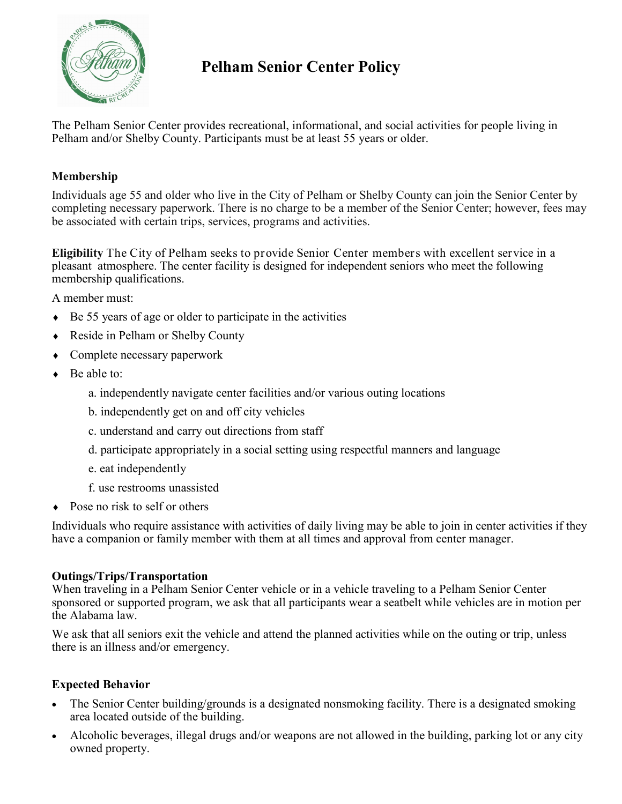

# **Pelham Senior Center Policy**

The Pelham Senior Center provides recreational, informational, and social activities for people living in Pelham and/or Shelby County. Participants must be at least 55 years or older.

# **Membership**

Individuals age 55 and older who live in the City of Pelham or Shelby County can join the Senior Center by completing necessary paperwork. There is no charge to be a member of the Senior Center; however, fees may be associated with certain trips, services, programs and activities.

**Eligibility** The City of Pelham seeks to provide Senior Center members with excellent service in a pleasant atmosphere. The center facility is designed for independent seniors who meet the following membership qualifications.

A member must:

- $\triangle$  Be 55 years of age or older to participate in the activities
- ◆ Reside in Pelham or Shelby County
- Complete necessary paperwork
- $\bullet$  Be able to:
	- a. independently navigate center facilities and/or various outing locations
	- b. independently get on and off city vehicles
	- c. understand and carry out directions from staff
	- d. participate appropriately in a social setting using respectful manners and language
	- e. eat independently
	- f. use restrooms unassisted
- Pose no risk to self or others

Individuals who require assistance with activities of daily living may be able to join in center activities if they have a companion or family member with them at all times and approval from center manager.

# **Outings/Trips/Transportation**

When traveling in a Pelham Senior Center vehicle or in a vehicle traveling to a Pelham Senior Center sponsored or supported program, we ask that all participants wear a seatbelt while vehicles are in motion per the Alabama law.

We ask that all seniors exit the vehicle and attend the planned activities while on the outing or trip, unless there is an illness and/or emergency.

# **Expected Behavior**

- The Senior Center building/grounds is a designated nonsmoking facility. There is a designated smoking area located outside of the building.
- Alcoholic beverages, illegal drugs and/or weapons are not allowed in the building, parking lot or any city owned property.